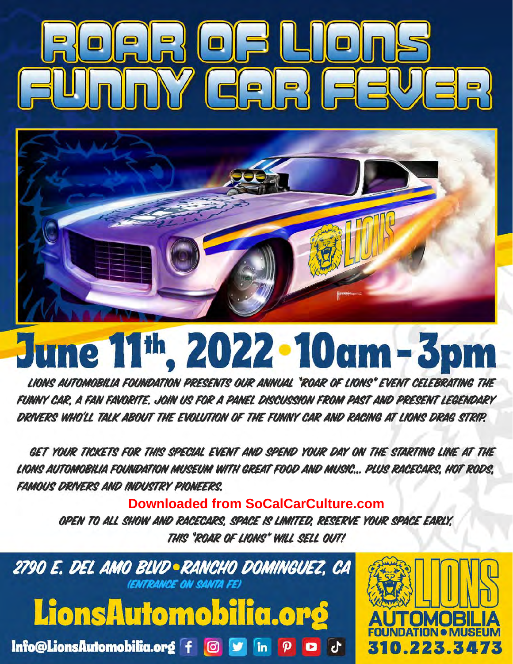



# June 11th, 2022 - 10am - 3p

LIONS AUTOMOBILIA FOUNDATION PRESENTS OUR ANNUAL "ROAR OF LIONS" EVENT CELEBRATING THE FUNNY CAR. A FAN FAVORITE. JOIN US FOR A PANEL DISCUSSION FROM PAST AND PRESENT LEGENDARY DRIVERS WHO'LL TALK ABOUT THE EVOLUTION OF THE FUNNY CAR AND RACING AT LIONS DRAG STRIP.

GET YOUR TICKETS FOR THIS SPECIAL EVENT AND SPEND YOUR DAY ON THE STARTING LINE AT THE LIONS AUTOMOBILIA FOUNDATION MUSEUM WITH GREAT FOOD AND MUSIC... PLUS RACECARS. HOT RODS. **FAMOUS DRIVERS AND INDUSTRY PIONEERS.** 

**Downloaded from SoCalCarCulture.com** OPEN TO ALL SHOW AND RACECARS, SPACE IS LIMITED, RESERVE YOUR SPACE EARLY, THIS "ROAR OF LIONS" WILL SELL OUT!

2790 E. DEL AMO BLVD • RANCHO DOMINGUEZ, CA **(ENTRANCE ON SANTA FE)** LionsAutomobilia.org

Info@LionsAutomobilia.org  $f$  @  $f$  in  $\rho$  a d